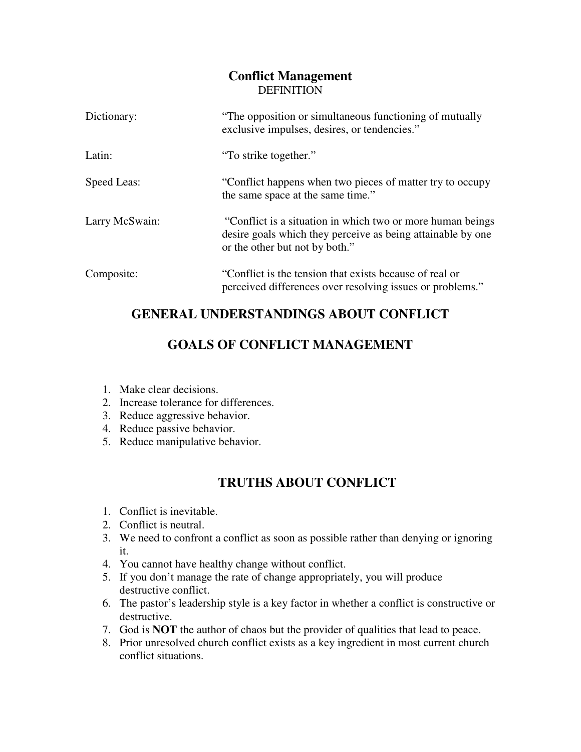#### **Conflict Management DEFINITION**

| Dictionary:    | "The opposition or simultaneous functioning of mutually<br>exclusive impulses, desires, or tendencies."                                                     |
|----------------|-------------------------------------------------------------------------------------------------------------------------------------------------------------|
| Latin:         | "To strike together."                                                                                                                                       |
| Speed Leas:    | "Conflict happens when two pieces of matter try to occupy<br>the same space at the same time."                                                              |
| Larry McSwain: | "Conflict is a situation in which two or more human beings<br>desire goals which they perceive as being attainable by one<br>or the other but not by both." |
| Composite:     | "Conflict is the tension that exists because of real or<br>perceived differences over resolving issues or problems."                                        |

# **GENERAL UNDERSTANDINGS ABOUT CONFLICT**

# **GOALS OF CONFLICT MANAGEMENT**

- 1. Make clear decisions.
- 2. Increase tolerance for differences.
- 3. Reduce aggressive behavior.
- 4. Reduce passive behavior.
- 5. Reduce manipulative behavior.

# **TRUTHS ABOUT CONFLICT**

- 1. Conflict is inevitable.
- 2. Conflict is neutral.
- 3. We need to confront a conflict as soon as possible rather than denying or ignoring it.
- 4. You cannot have healthy change without conflict.
- 5. If you don't manage the rate of change appropriately, you will produce destructive conflict.
- 6. The pastor's leadership style is a key factor in whether a conflict is constructive or destructive.
- 7. God is **NOT** the author of chaos but the provider of qualities that lead to peace.
- 8. Prior unresolved church conflict exists as a key ingredient in most current church conflict situations.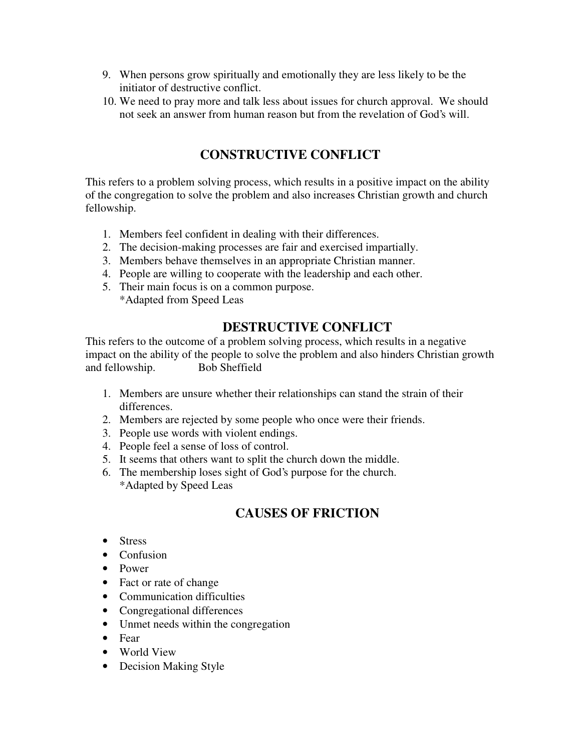- 9. When persons grow spiritually and emotionally they are less likely to be the initiator of destructive conflict.
- 10. We need to pray more and talk less about issues for church approval. We should not seek an answer from human reason but from the revelation of God's will.

### **CONSTRUCTIVE CONFLICT**

This refers to a problem solving process, which results in a positive impact on the ability of the congregation to solve the problem and also increases Christian growth and church fellowship.

- 1. Members feel confident in dealing with their differences.
- 2. The decision-making processes are fair and exercised impartially.
- 3. Members behave themselves in an appropriate Christian manner.
- 4. People are willing to cooperate with the leadership and each other.
- 5. Their main focus is on a common purpose. \*Adapted from Speed Leas

#### **DESTRUCTIVE CONFLICT**

This refers to the outcome of a problem solving process, which results in a negative impact on the ability of the people to solve the problem and also hinders Christian growth and fellowship. Bob Sheffield

- 1. Members are unsure whether their relationships can stand the strain of their differences.
- 2. Members are rejected by some people who once were their friends.
- 3. People use words with violent endings.
- 4. People feel a sense of loss of control.
- 5. It seems that others want to split the church down the middle.
- 6. The membership loses sight of God's purpose for the church. \*Adapted by Speed Leas

# **CAUSES OF FRICTION**

- Stress
- Confusion
- Power
- Fact or rate of change
- Communication difficulties
- Congregational differences
- Unmet needs within the congregation
- Fear
- World View
- Decision Making Style